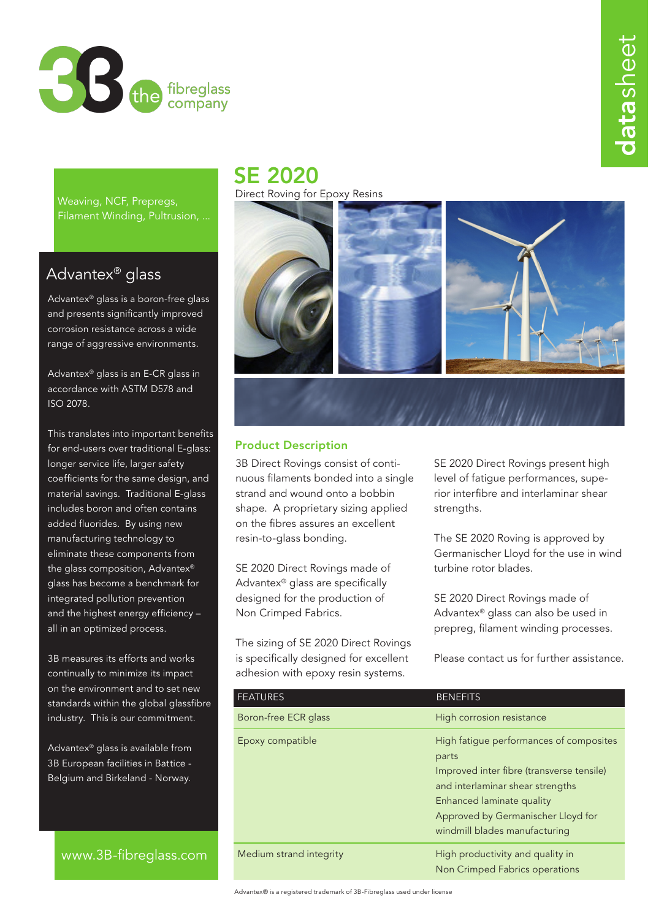

datasheet atasheet

Weaving, NCF, Prepregs, Filament Winding, Pultrusion, ...

## Advantex® glass

Advantex® glass is a boron-free glass and presents significantly improved corrosion resistance across a wide range of aggressive environments.

Advantex® glass is an E-CR glass in accordance with ASTM D578 and ISO 2078.

This translates into important benefits for end-users over traditional E-glass: longer service life, larger safety coefficients for the same design, and material savings. Traditional E-glass includes boron and often contains added fluorides. By using new manufacturing technology to eliminate these components from the glass composition, Advantex® glass has become a benchmark for integrated pollution prevention and the highest energy efficiency – all in an optimized process.

3B measures its efforts and works continually to minimize its impact on the environment and to set new standards within the global glassfibre industry. This is our commitment.

Advantex® glass is available from 3B European facilities in Battice - Belgium and Birkeland - Norway.

www.3B-fibreglass.com

## SE 2020

Direct Roving for Epoxy Resins



## Product Description

3B Direct Rovings consist of continuous filaments bonded into a single strand and wound onto a bobbin shape. A proprietary sizing applied on the fibres assures an excellent resin-to-glass bonding.

SE 2020 Direct Rovings made of Advantex® glass are specifically designed for the production of Non Crimped Fabrics.

The sizing of SE 2020 Direct Rovings is specifically designed for excellent adhesion with epoxy resin systems.

SE 2020 Direct Rovings present high level of fatigue performances, superior interfibre and interlaminar shear strengths.

The SE 2020 Roving is approved by Germanischer Lloyd for the use in wind turbine rotor blades.

SE 2020 Direct Rovings made of Advantex® glass can also be used in prepreg, filament winding processes.

Please contact us for further assistance.

| <b>FEATURES</b>         | <b>BENEFITS</b>                                                                                                                                                                                                                       |
|-------------------------|---------------------------------------------------------------------------------------------------------------------------------------------------------------------------------------------------------------------------------------|
| Boron-free ECR glass    | High corrosion resistance                                                                                                                                                                                                             |
| Epoxy compatible        | High fatigue performances of composites<br>parts<br>Improved inter fibre (transverse tensile)<br>and interlaminar shear strengths<br>Enhanced laminate quality<br>Approved by Germanischer Lloyd for<br>windmill blades manufacturing |
| Medium strand integrity | High productivity and quality in<br>Non Crimped Fabrics operations                                                                                                                                                                    |